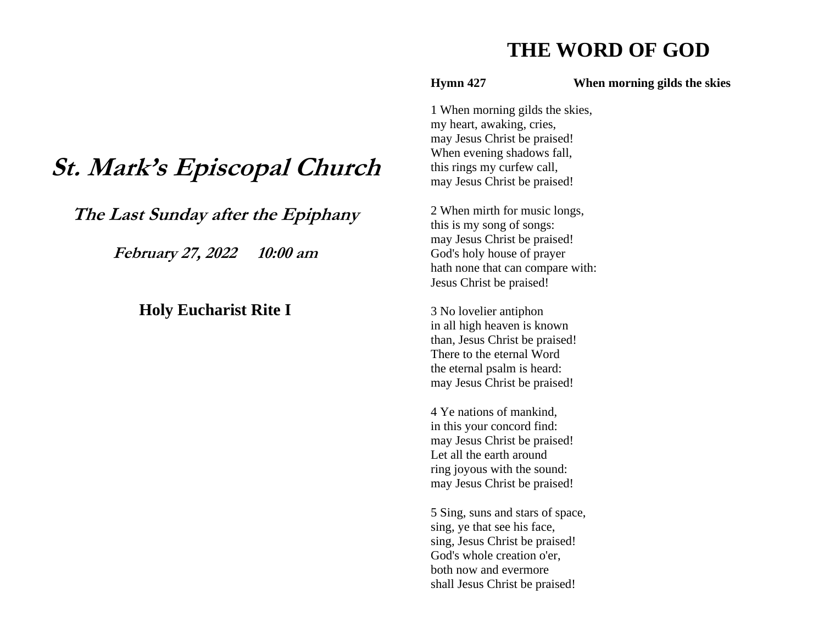# **THE WORD OF GOD**

**Hymn 427 When morning gilds the skies** 

1 When morning gilds the skies, my heart, awaking, cries, may Jesus Christ be praised! When evening shadows fall, this rings my curfew call, may Jesus Christ be praised!

2 When mirth for music longs, this is my song of songs: may Jesus Christ be praised! God's holy house of prayer hath none that can compare with: Jesus Christ be praised!

3 No lovelier antiphon in all high heaven is known than, Jesus Christ be praised! There to the eternal Word the eternal psalm is heard: may Jesus Christ be praised!

4 Ye nations of mankind, in this your concord find: may Jesus Christ be praised! Let all the earth around ring joyous with the sound: may Jesus Christ be praised!

5 Sing, suns and stars of space, sing, ye that see his face, sing, Jesus Christ be praised! God's whole creation o'er, both now and evermore shall Jesus Christ be praised!

# **St. Mark's Episcopal Church**

**The Last Sunday after the Epiphany**

**February 27, 2022 10:00 am**

# **Holy Eucharist Rite I**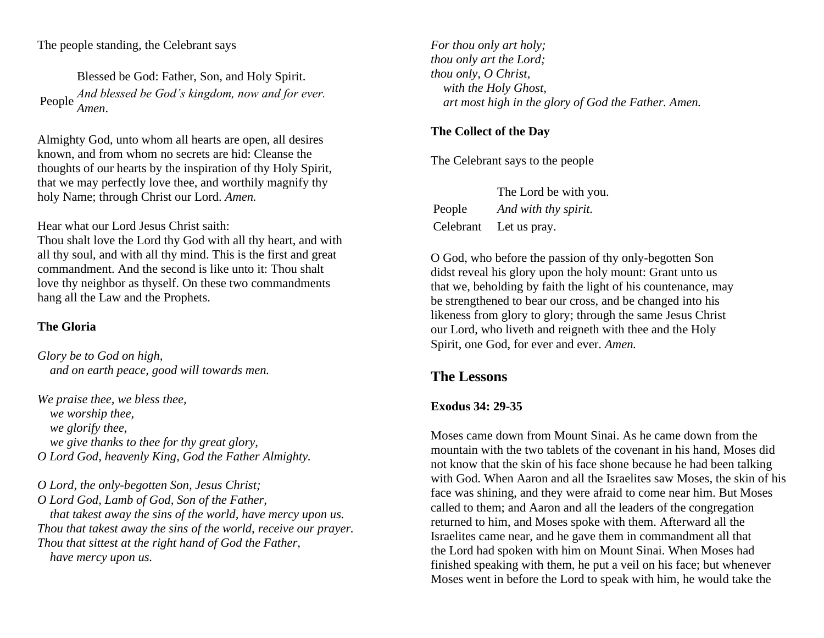The people standing, the Celebrant says

Blessed be God: Father, Son, and Holy Spirit. People *And blessed be God's kingdom, now and for ever. Amen*.

Almighty God, unto whom all hearts are open, all desires known, and from whom no secrets are hid: Cleanse the thoughts of our hearts by the inspiration of thy Holy Spirit, that we may perfectly love thee, and worthily magnify thy holy Name; through Christ our Lord. *Amen.*

Hear what our Lord Jesus Christ saith:

Thou shalt love the Lord thy God with all thy heart, and with all thy soul, and with all thy mind. This is the first and great commandment. And the second is like unto it: Thou shalt love thy neighbor as thyself. On these two commandments hang all the Law and the Prophets.

# **The Gloria**

*Glory be to God on high, and on earth peace, good will towards men.*

*We praise thee, we bless thee, we worship thee, we glorify thee, we give thanks to thee for thy great glory, O Lord God, heavenly King, God the Father Almighty.*

*O Lord, the only-begotten Son, Jesus Christ; O Lord God, Lamb of God, Son of the Father, that takest away the sins of the world, have mercy upon us. Thou that takest away the sins of the world, receive our prayer. Thou that sittest at the right hand of God the Father, have mercy upon us.*

*For thou only art holy; thou only art the Lord; thou only, O Christ, with the Holy Ghost, art most high in the glory of God the Father. Amen.*

# **The Collect of the Day**

The Celebrant says to the people

|        | The Lord be with you.  |
|--------|------------------------|
| People | And with thy spirit.   |
|        | Celebrant Let us pray. |

O God, who before the passion of thy only-begotten Son didst reveal his glory upon the holy mount: Grant unto us that we, beholding by faith the light of his countenance, may be strengthened to bear our cross, and be changed into his likeness from glory to glory; through the same Jesus Christ our Lord, who liveth and reigneth with thee and the Holy Spirit, one God, for ever and ever. *Amen.*

# **The Lessons**

# **Exodus 34: 29-35**

Moses came down from Mount Sinai. As he came down from the mountain with the two tablets of the covenant in his hand, Moses did not know that the skin of his face shone because he had been talking with God. When Aaron and all the Israelites saw Moses, the skin of his face was shining, and they were afraid to come near him. But Moses called to them; and Aaron and all the leaders of the congregation returned to him, and Moses spoke with them. Afterward all the Israelites came near, and he gave them in commandment all that the Lord had spoken with him on Mount Sinai. When Moses had finished speaking with them, he put a veil on his face; but whenever Moses went in before the Lord to speak with him, he would take the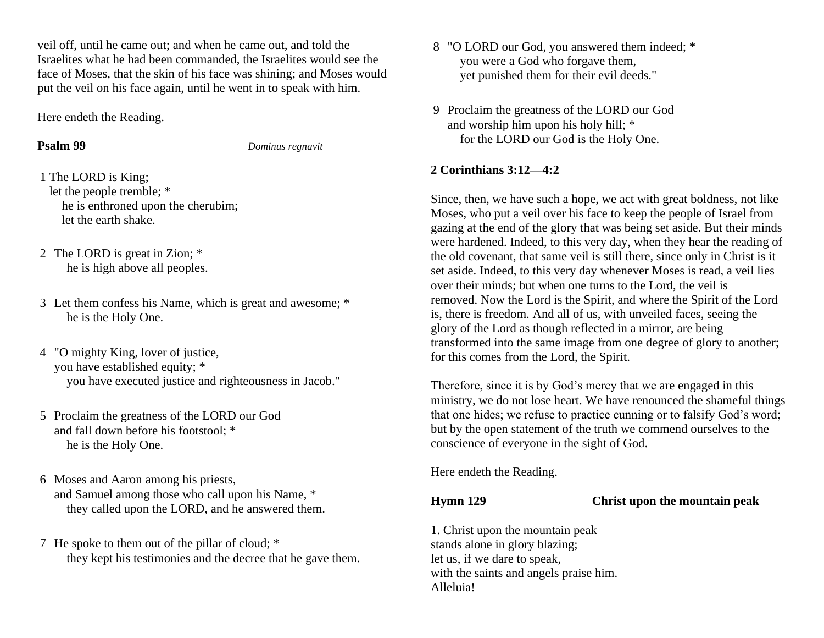veil off, until he came out; and when he came out, and told the Israelites what he had been commanded, the Israelites would see the face of Moses, that the skin of his face was shining; and Moses would put the veil on his face again, until he went in to speak with him.

Here endeth the Reading.

**Psalm 99** *Dominus regnavit*

- 1 The LORD is King; let the people tremble; \* he is enthroned upon the cherubim; let the earth shake.
- 2 The LORD is great in Zion; \* he is high above all peoples.
- 3 Let them confess his Name, which is great and awesome; \* he is the Holy One.
- 4 "O mighty King, lover of justice, you have established equity; \* you have executed justice and righteousness in Jacob."
- 5 Proclaim the greatness of the LORD our God and fall down before his footstool; \* he is the Holy One.
- 6 Moses and Aaron among his priests, and Samuel among those who call upon his Name, \* they called upon the LORD, and he answered them.
- 7 He spoke to them out of the pillar of cloud; \* they kept his testimonies and the decree that he gave them.
- 8 "O LORD our God, you answered them indeed; \* you were a God who forgave them, yet punished them for their evil deeds."
- 9 Proclaim the greatness of the LORD our God and worship him upon his holy hill; \* for the LORD our God is the Holy One.

# **2 Corinthians 3:12—4:2**

Since, then, we have such a hope, we act with great boldness, not like Moses, who put a veil over his face to keep the people of Israel from gazing at the end of the glory that was being set aside. But their minds were hardened. Indeed, to this very day, when they hear the reading of the old covenant, that same veil is still there, since only in Christ is it set aside. Indeed, to this very day whenever Moses is read, a veil lies over their minds; but when one turns to the Lord, the veil is removed. Now the Lord is the Spirit, and where the Spirit of the Lord is, there is freedom. And all of us, with unveiled faces, seeing the glory of the Lord as though reflected in a mirror, are being transformed into the same image from one degree of glory to another; for this comes from the Lord, the Spirit.

Therefore, since it is by God's mercy that we are engaged in this ministry, we do not lose heart. We have renounced the shameful things that one hides; we refuse to practice cunning or to falsify God's word; but by the open statement of the truth we commend ourselves to the conscience of everyone in the sight of God.

Here endeth the Reading.

**Hymn 129 Christ upon the mountain peak**

1. Christ upon the mountain peak stands alone in glory blazing; let us, if we dare to speak, with the saints and angels praise him. Alleluia!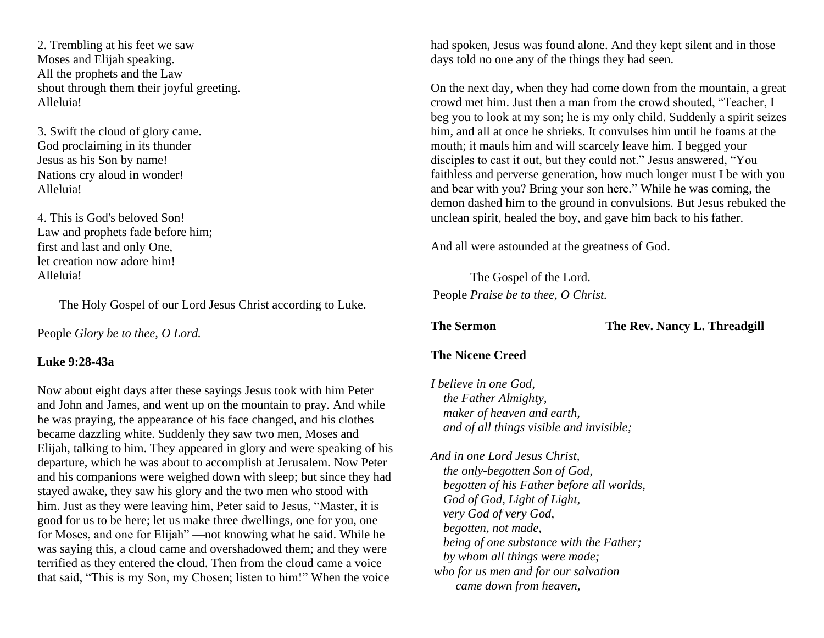2. Trembling at his feet we saw Moses and Elijah speaking. All the prophets and the Law shout through them their joyful greeting. Alleluia!

3. Swift the cloud of glory came. God proclaiming in its thunder Jesus as his Son by name! Nations cry aloud in wonder! Alleluia!

4. This is God's beloved Son! Law and prophets fade before him; first and last and only One, let creation now adore him! Alleluia!

The Holy Gospel of our Lord Jesus Christ according to Luke.

People *Glory be to thee, O Lord.*

## **Luke 9:28-43a**

Now about eight days after these sayings Jesus took with him Peter and John and James, and went up on the mountain to pray. And while he was praying, the appearance of his face changed, and his clothes became dazzling white. Suddenly they saw two men, Moses and Elijah, talking to him. They appeared in glory and were speaking of his departure, which he was about to accomplish at Jerusalem. Now Peter and his companions were weighed down with sleep; but since they had stayed awake, they saw his glory and the two men who stood with him. Just as they were leaving him, Peter said to Jesus, "Master, it is good for us to be here; let us make three dwellings, one for you, one for Moses, and one for Elijah" —not knowing what he said. While he was saying this, a cloud came and overshadowed them; and they were terrified as they entered the cloud. Then from the cloud came a voice that said, "This is my Son, my Chosen; listen to him!" When the voice

had spoken, Jesus was found alone. And they kept silent and in those days told no one any of the things they had seen.

On the next day, when they had come down from the mountain, a great crowd met him. Just then a man from the crowd shouted, "Teacher, I beg you to look at my son; he is my only child. Suddenly a spirit seizes him, and all at once he shrieks. It convulses him until he foams at the mouth; it mauls him and will scarcely leave him. I begged your disciples to cast it out, but they could not." Jesus answered, "You faithless and perverse generation, how much longer must I be with you and bear with you? Bring your son here." While he was coming, the demon dashed him to the ground in convulsions. But Jesus rebuked the unclean spirit, healed the boy, and gave him back to his father.

And all were astounded at the greatness of God.

The Gospel of the Lord. People *Praise be to thee, O Christ.*

**The Sermon The Rev. Nancy L. Threadgill** 

# **The Nicene Creed**

*I believe in one God, the Father Almighty, maker of heaven and earth, and of all things visible and invisible;*

*And in one Lord Jesus Christ, the only-begotten Son of God, begotten of his Father before all worlds, God of God, Light of Light, very God of very God, begotten, not made, being of one substance with the Father; by whom all things were made; who for us men and for our salvation came down from heaven,*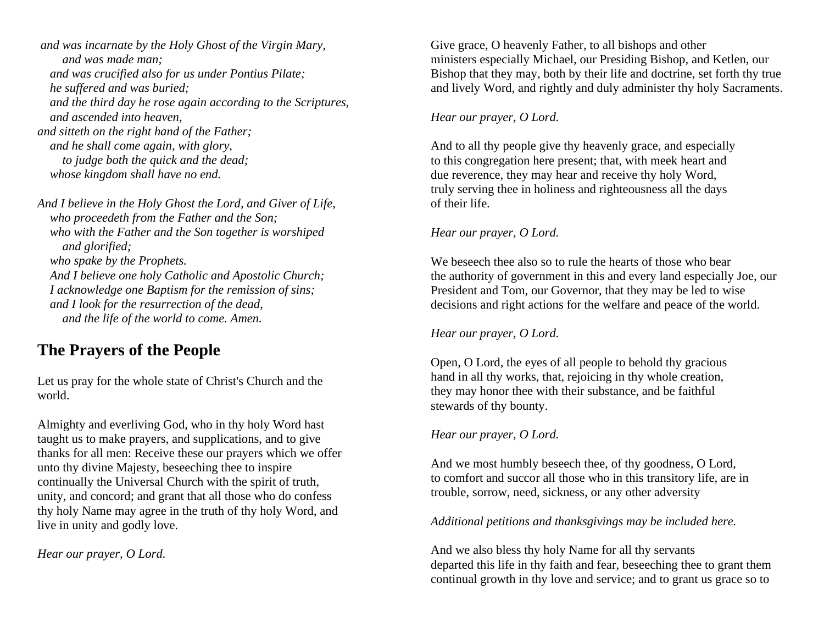*and was incarnate by the Holy Ghost of the Virgin Mary, and was made man; and was crucified also for us under Pontius Pilate; he suffered and was buried; and the third day he rose again according to the Scriptures, and ascended into heaven, and sitteth on the right hand of the Father; and he shall come again, with glory, to judge both the quick and the dead; whose kingdom shall have no end.*

*And I believe in the Holy Ghost the Lord, and Giver of Life, who proceedeth from the Father and the Son; who with the Father and the Son together is worshiped and glorified; who spake by the Prophets. And I believe one holy Catholic and Apostolic Church; I acknowledge one Baptism for the remission of sins; and I look for the resurrection of the dead, and the life of the world to come. Amen.*

# **The Prayers of the People**

Let us pray for the whole state of Christ's Church and the world.

Almighty and everliving God, who in thy holy Word hast taught us to make prayers, and supplications, and to give thanks for all men: Receive these our prayers which we offer unto thy divine Majesty, beseeching thee to inspire continually the Universal Church with the spirit of truth, unity, and concord; and grant that all those who do confess thy holy Name may agree in the truth of thy holy Word, and live in unity and godly love.

*Hear our prayer, O Lord.*

Give grace, O heavenly Father, to all bishops and other ministers especially Michael, our Presiding Bishop, and Ketlen, our Bishop that they may, both by their life and doctrine, set forth thy true and lively Word, and rightly and duly administer thy holy Sacraments.

# *Hear our prayer, O Lord.*

And to all thy people give thy heavenly grace, and especially to this congregation here present; that, with meek heart and due reverence, they may hear and receive thy holy Word, truly serving thee in holiness and righteousness all the days of their life.

# *Hear our prayer, O Lord.*

We beseech thee also so to rule the hearts of those who bear the authority of government in this and every land especially Joe, our President and Tom, our Governor, that they may be led to wise decisions and right actions for the welfare and peace of the world.

# *Hear our prayer, O Lord.*

Open, O Lord, the eyes of all people to behold thy gracious hand in all thy works, that, rejoicing in thy whole creation, they may honor thee with their substance, and be faithful stewards of thy bounty.

# *Hear our prayer, O Lord.*

And we most humbly beseech thee, of thy goodness, O Lord, to comfort and succor all those who in this transitory life, are in trouble, sorrow, need, sickness, or any other adversity

# *Additional petitions and thanksgivings may be included here.*

And we also bless thy holy Name for all thy servants departed this life in thy faith and fear, beseeching thee to grant them continual growth in thy love and service; and to grant us grace so to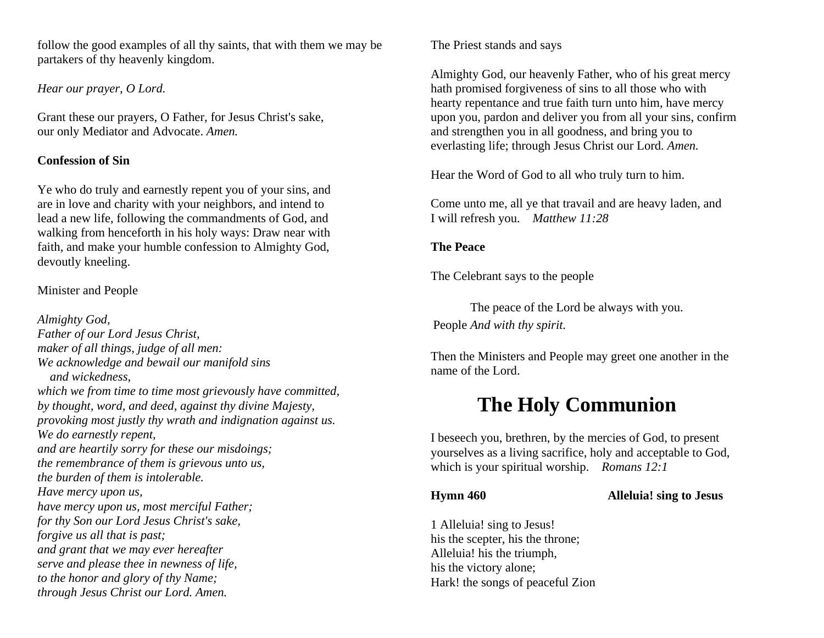follow the good examples of all thy saints, that with them we may be partakers of thy heavenly kingdom.

*Hear our prayer, O Lord.*

Grant these our prayers, O Father, for Jesus Christ's sake, our only Mediator and Advocate. *Amen.*

# **Confession of Sin**

Ye who do truly and earnestly repent you of your sins, and are in love and charity with your neighbors, and intend to lead a new life, following the commandments of God, and walking from henceforth in his holy ways: Draw near with faith, and make your humble confession to Almighty God, devoutly kneeling.

Minister and People

*Almighty God, Father of our Lord Jesus Christ, maker of all things, judge of all men: We acknowledge and bewail our manifold sins and wickedness, which we from time to time most grievously have committed, by thought, word, and deed, against thy divine Majesty, provoking most justly thy wrath and indignation against us. We do earnestly repent, and are heartily sorry for these our misdoings; the remembrance of them is grievous unto us, the burden of them is intolerable. Have mercy upon us, have mercy upon us, most merciful Father; for thy Son our Lord Jesus Christ's sake, forgive us all that is past; and grant that we may ever hereafter serve and please thee in newness of life, to the honor and glory of thy Name; through Jesus Christ our Lord. Amen.*

The Priest stands and says

Almighty God, our heavenly Father, who of his great mercy hath promised forgiveness of sins to all those who with hearty repentance and true faith turn unto him, have mercy upon you, pardon and deliver you from all your sins, confirm and strengthen you in all goodness, and bring you to everlasting life; through Jesus Christ our Lord. *Amen.* 

Hear the Word of God to all who truly turn to him.

Come unto me, all ye that travail and are heavy laden, and I will refresh you. *Matthew 11:28*

# **The Peace**

The Celebrant says to the people

The peace of the Lord be always with you. People *And with thy spirit.*

Then the Ministers and People may greet one another in the name of the Lord.

# **The Holy Communion**

I beseech you, brethren, by the mercies of God, to present yourselves as a living sacrifice, holy and acceptable to God, which is your spiritual worship. *Romans 12:1*

**Hymn 460 Alleluia! sing to Jesus**

1 Alleluia! sing to Jesus! his the scepter, his the throne; Alleluia! his the triumph, his the victory alone; Hark! the songs of peaceful Zion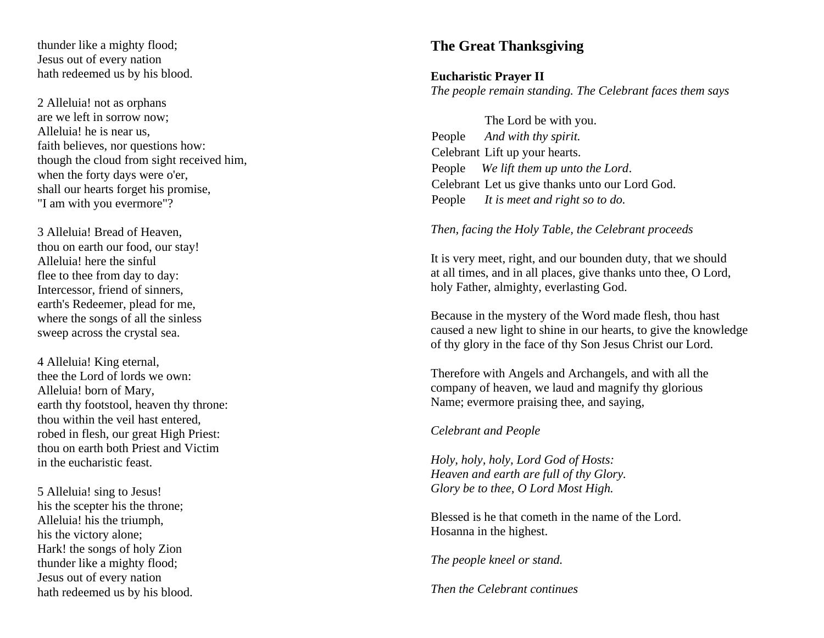thunder like a mighty flood; Jesus out of every nation hath redeemed us by his blood.

2 Alleluia! not as orphans are we left in sorrow now; Alleluia! he is near us, faith believes, nor questions how: though the cloud from sight received him, when the forty days were o'er. shall our hearts forget his promise, "I am with you evermore"?

3 Alleluia! Bread of Heaven, thou on earth our food, our stay! Alleluia! here the sinful flee to thee from day to day: Intercessor, friend of sinners, earth's Redeemer, plead for me, where the songs of all the sinless sweep across the crystal sea.

4 Alleluia! King eternal, thee the Lord of lords we own: Alleluia! born of Mary, earth thy footstool, heaven thy throne: thou within the veil hast entered, robed in flesh, our great High Priest: thou on earth both Priest and Victim in the eucharistic feast.

5 Alleluia! sing to Jesus! his the scepter his the throne; Alleluia! his the triumph, his the victory alone; Hark! the songs of holy Zion thunder like a mighty flood; Jesus out of every nation hath redeemed us by his blood.

# **The Great Thanksgiving**

# **Eucharistic Prayer I I**

*The people remain standing. The Celebrant faces them says*

The Lord be with you. People *And with thy spirit.* Celebrant Lift up your hearts. People *We lift them up unto the Lord* . Celebrant Let us give thanks unto our Lord God. People *It is meet and right so to do.*

### *Then, facing the Holy Table, the Celebrant proceeds*

It is very meet, right, and our bounden duty, that we should at all times, and in all places, give thanks unto thee, O Lord, holy Father, almighty, everlasting God.

Because in the mystery of the Word made flesh, thou hast caused a new light to shine in our hearts, to give the knowledge of thy glory in the face of thy Son Jesus Christ our Lord.

Therefore with Angels and Archangels, and with all the company of heaven, we laud and magnify thy glorious Name; evermore praising thee, and saying,

*Celebrant and People*

*Holy, holy, holy, Lord God of Hosts: Heaven and earth are full of thy Glory. Glory be to thee, O Lord Most High.*

Blessed is he that cometh in the name of the Lord. Hosanna in the highest.

*The people kneel or stand.*

*Then the Celebrant continues*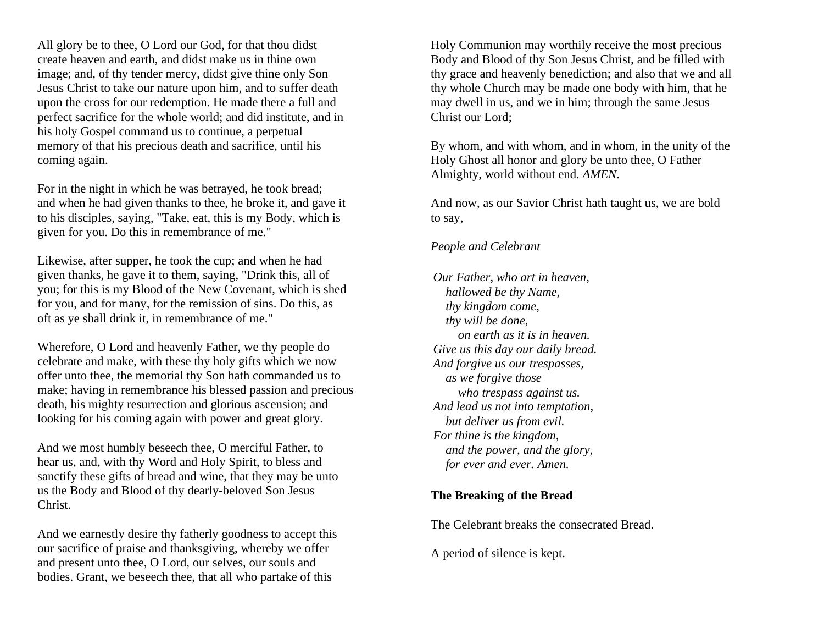All glory be to thee, O Lord our God, for that thou didst create heaven and earth, and didst make us in thine own image; and, of thy tender mercy, didst give thine only Son Jesus Christ to take our nature upon him, and to suffer death upon the cross for our redemption. He made there a full and perfect sacrifice for the whole world; and did institute, and in his holy Gospel command us to continue, a perpetual memory of that his precious death and sacrifice, until his coming again.

For in the night in which he was betrayed, he took bread; and when he had given thanks to thee, he broke it, and gave it to his disciples, saying, "Take, eat, this is my Body, which is given for you. Do this in remembrance of me."

Likewise, after supper, he took the cup; and when he had given thanks, he gave it to them, saying, "Drink this, all of you; for this is my Blood of the New Covenant, which is shed for you, and for many, for the remission of sins. Do this, as oft as ye shall drink it, in remembrance of me."

Wherefore, O Lord and heavenly Father, we thy people do celebrate and make, with these thy holy gifts which we now offer unto thee, the memorial thy Son hath commanded us to make; having in remembrance his blessed passion and precious death, his mighty resurrection and glorious ascension; and looking for his coming again with power and great glory.

And we most humbly beseech thee, O merciful Father, to hear us, and, with thy Word and Holy Spirit, to bless and sanctify these gifts of bread and wine, that they may be unto us the Body and Blood of thy dearly-beloved Son Jesus Christ.

And we earnestly desire thy fatherly goodness to accept this our sacrifice of praise and thanksgiving, whereby we offer and present unto thee, O Lord, our selves, our souls and bodies. Grant, we beseech thee, that all who partake of this

Holy Communion may worthily receive the most precious Body and Blood of thy Son Jesus Christ, and be filled with thy grace and heavenly benediction; and also that we and all thy whole Church may be made one body with him, that he may dwell in us, and we in him; through the same Jesus Christ our Lord;

By whom, and with whom, and in whom, in the unity of the Holy Ghost all honor and glory be unto thee, O Father Almighty, world without end. *AMEN*.

And now, as our Savior Christ hath taught us, we are bold to say,

# *People and Celebrant*

*Our Father, who art in heaven, hallowed be thy Name, thy kingdom come, thy will be done, on earth as it is in heaven. Give us this day our daily bread. And forgive us our trespasses, as we forgive those who trespass against us. And lead us not into temptation, but deliver us from evil. For thine is the kingdom, and the power, and the glory, for ever and ever. Amen.*

# **The Breaking of the Bread**

The Celebrant breaks the consecrated Bread.

A period of silence is kept.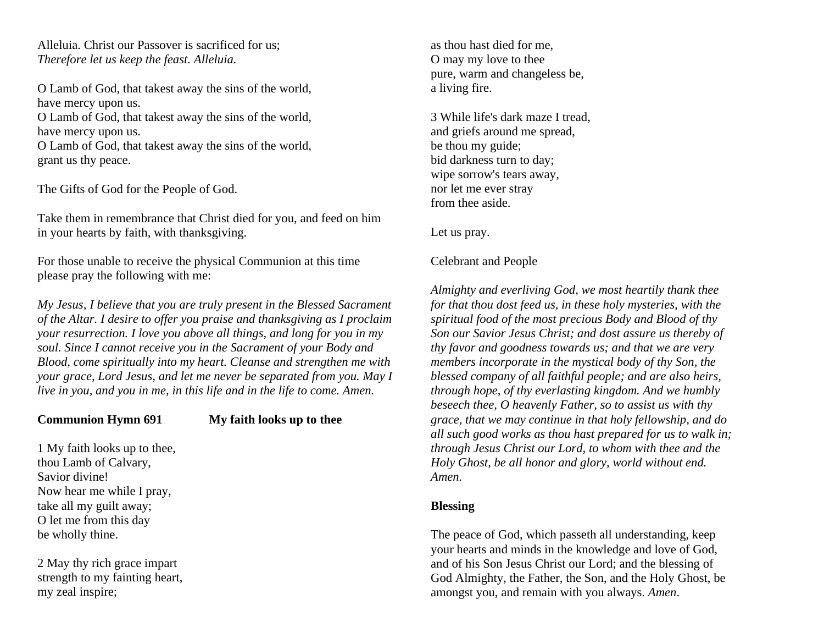Alleluia. Christ our Passover is sacrificed for us; *Therefore let us keep the feast. Alleluia.*

O Lamb of God, that takest away the sins of the world, have mercy upon us. O Lamb of God, that takest away the sins of the world, have mercy upon us. O Lamb of God, that takest away the sins of the world, grant us thy peace.

The Gifts of God for the People of God.

Take them in remembrance that Christ died for you, and feed on him in your hearts by faith, with thanksgiving.

For those unable to receive the physical Communion at this time please pray the following with me:

*My Jesus, I believe that you are truly present in the Blessed Sacrament of the Altar. I desire to offer you praise and thanksgiving as I proclaim your resurrection. I love you above all things, and long for you in my soul. Since I cannot receive you in the Sacrament of your Body and Blood, come spiritually into my heart. Cleanse and strengthen me with your grace, Lord Jesus, and let me never be separated from you. May I live in you, and you in me, in this life and in the life to come. Amen.*

# **Communion Hymn 691 My faith looks up to thee**

1 My faith looks up to thee, thou Lamb of Calvary, Savior divine! Now hear me while I pray, take all my guilt away; O let me from this day be wholly thine.

2 May thy rich grace impart strength to my fainting heart, my zeal inspire;

as thou hast died for me, O may my love to thee pure, warm and changeless be, a living fire.

3 While life's dark maze I tread, and griefs around me spread, be thou my guide; bid darkness turn to day; wipe sorrow's tears away, nor let me ever stray from thee aside.

Let us pray.

Celebrant and People

*Almighty and everliving God, we most heartily thank thee for that thou dost feed us, in these holy mysteries, with the spiritual food of the most precious Body and Blood of thy Son our Savior Jesus Christ; and dost assure us thereby of thy favor and goodness towards us; and that we are very members incorporate in the mystical body of thy Son, the blessed company of all faithful people; and are also heirs, through hope, of thy everlasting kingdom. And we humbly beseech thee, O heavenly Father, so to assist us with thy grace, that we may continue in that holy fellowship, and do all such good works as thou hast prepared for us to walk in; through Jesus Christ our Lord, to whom with thee and the Holy Ghost, be all honor and glory, world without end. Amen.*

# **Blessing**

The peace of God, which passeth all understanding, keep your hearts and minds in the knowledge and love of God, and of his Son Jesus Christ our Lord; and the blessing of God Almighty, the Father, the Son, and the Holy Ghost, be amongst you, and remain with you always. *Amen*.